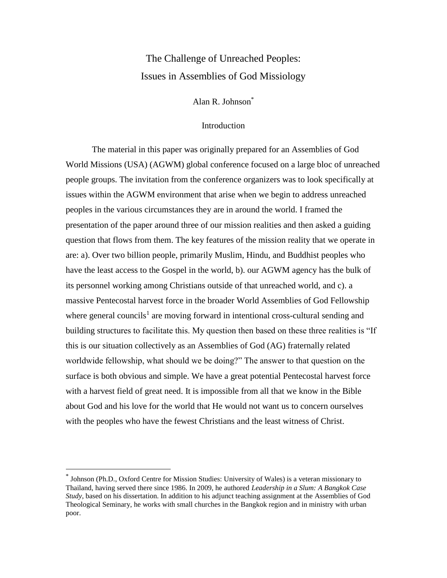# The Challenge of Unreached Peoples: Issues in Assemblies of God Missiology

Alan R. Johnson\*

# Introduction

The material in this paper was originally prepared for an Assemblies of God World Missions (USA) (AGWM) global conference focused on a large bloc of unreached people groups. The invitation from the conference organizers was to look specifically at issues within the AGWM environment that arise when we begin to address unreached peoples in the various circumstances they are in around the world. I framed the presentation of the paper around three of our mission realities and then asked a guiding question that flows from them. The key features of the mission reality that we operate in are: a). Over two billion people, primarily Muslim, Hindu, and Buddhist peoples who have the least access to the Gospel in the world, b). our AGWM agency has the bulk of its personnel working among Christians outside of that unreached world, and c). a massive Pentecostal harvest force in the broader World Assemblies of God Fellowship where general councils<sup>1</sup> are moving forward in intentional cross-cultural sending and building structures to facilitate this. My question then based on these three realities is "If this is our situation collectively as an Assemblies of God (AG) fraternally related worldwide fellowship, what should we be doing?" The answer to that question on the surface is both obvious and simple. We have a great potential Pentecostal harvest force with a harvest field of great need. It is impossible from all that we know in the Bible about God and his love for the world that He would not want us to concern ourselves with the peoples who have the fewest Christians and the least witness of Christ.

 $\overline{a}$ 

<sup>\*</sup> Johnson (Ph.D., Oxford Centre for Mission Studies: University of Wales) is a veteran missionary to Thailand, having served there since 1986. In 2009, he authored *Leadership in a Slum: A Bangkok Case Study*, based on his dissertation. In addition to his adjunct teaching assignment at the Assemblies of God Theological Seminary, he works with small churches in the Bangkok region and in ministry with urban poor.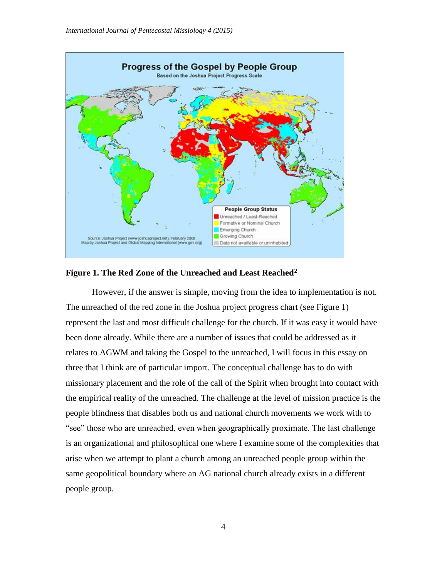

# **Figure 1. The Red Zone of the Unreached and Least Reached<sup>2</sup>**

However, if the answer is simple, moving from the idea to implementation is not. The unreached of the red zone in the Joshua project progress chart (see Figure 1) represent the last and most difficult challenge for the church. If it was easy it would have been done already. While there are a number of issues that could be addressed as it relates to AGWM and taking the Gospel to the unreached, I will focus in this essay on three that I think are of particular import. The conceptual challenge has to do with missionary placement and the role of the call of the Spirit when brought into contact with the empirical reality of the unreached. The challenge at the level of mission practice is the people blindness that disables both us and national church movements we work with to "see" those who are unreached, even when geographically proximate. The last challenge is an organizational and philosophical one where I examine some of the complexities that arise when we attempt to plant a church among an unreached people group within the same geopolitical boundary where an AG national church already exists in a different people group.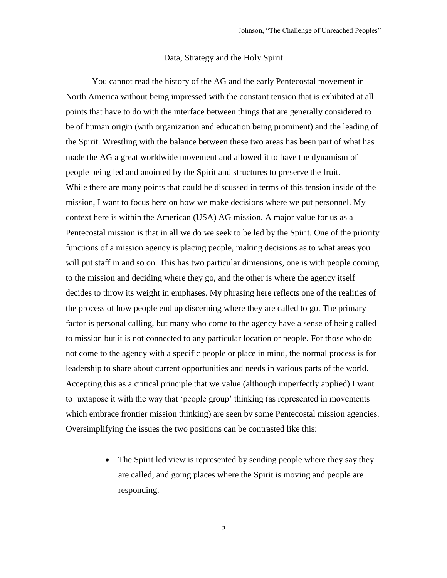# Data, Strategy and the Holy Spirit

You cannot read the history of the AG and the early Pentecostal movement in North America without being impressed with the constant tension that is exhibited at all points that have to do with the interface between things that are generally considered to be of human origin (with organization and education being prominent) and the leading of the Spirit. Wrestling with the balance between these two areas has been part of what has made the AG a great worldwide movement and allowed it to have the dynamism of people being led and anointed by the Spirit and structures to preserve the fruit. While there are many points that could be discussed in terms of this tension inside of the mission, I want to focus here on how we make decisions where we put personnel. My context here is within the American (USA) AG mission. A major value for us as a Pentecostal mission is that in all we do we seek to be led by the Spirit. One of the priority functions of a mission agency is placing people, making decisions as to what areas you will put staff in and so on. This has two particular dimensions, one is with people coming to the mission and deciding where they go, and the other is where the agency itself decides to throw its weight in emphases. My phrasing here reflects one of the realities of the process of how people end up discerning where they are called to go. The primary factor is personal calling, but many who come to the agency have a sense of being called to mission but it is not connected to any particular location or people. For those who do not come to the agency with a specific people or place in mind, the normal process is for leadership to share about current opportunities and needs in various parts of the world. Accepting this as a critical principle that we value (although imperfectly applied) I want to juxtapose it with the way that 'people group' thinking (as represented in movements which embrace frontier mission thinking) are seen by some Pentecostal mission agencies. Oversimplifying the issues the two positions can be contrasted like this:

> • The Spirit led view is represented by sending people where they say they are called, and going places where the Spirit is moving and people are responding.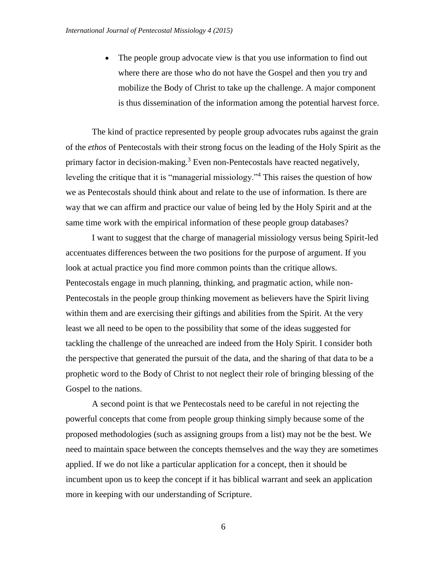• The people group advocate view is that you use information to find out where there are those who do not have the Gospel and then you try and mobilize the Body of Christ to take up the challenge. A major component is thus dissemination of the information among the potential harvest force.

The kind of practice represented by people group advocates rubs against the grain of the *ethos* of Pentecostals with their strong focus on the leading of the Holy Spirit as the primary factor in decision-making.<sup>3</sup> Even non-Pentecostals have reacted negatively, leveling the critique that it is "managerial missiology."<sup>4</sup> This raises the question of how we as Pentecostals should think about and relate to the use of information. Is there are way that we can affirm and practice our value of being led by the Holy Spirit and at the same time work with the empirical information of these people group databases?

I want to suggest that the charge of managerial missiology versus being Spirit-led accentuates differences between the two positions for the purpose of argument. If you look at actual practice you find more common points than the critique allows. Pentecostals engage in much planning, thinking, and pragmatic action, while non-Pentecostals in the people group thinking movement as believers have the Spirit living within them and are exercising their giftings and abilities from the Spirit. At the very least we all need to be open to the possibility that some of the ideas suggested for tackling the challenge of the unreached are indeed from the Holy Spirit. I consider both the perspective that generated the pursuit of the data, and the sharing of that data to be a prophetic word to the Body of Christ to not neglect their role of bringing blessing of the Gospel to the nations.

A second point is that we Pentecostals need to be careful in not rejecting the powerful concepts that come from people group thinking simply because some of the proposed methodologies (such as assigning groups from a list) may not be the best. We need to maintain space between the concepts themselves and the way they are sometimes applied. If we do not like a particular application for a concept, then it should be incumbent upon us to keep the concept if it has biblical warrant and seek an application more in keeping with our understanding of Scripture.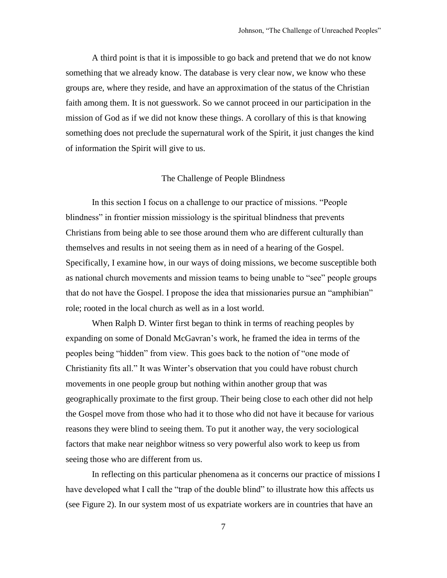A third point is that it is impossible to go back and pretend that we do not know something that we already know. The database is very clear now, we know who these groups are, where they reside, and have an approximation of the status of the Christian faith among them. It is not guesswork. So we cannot proceed in our participation in the mission of God as if we did not know these things. A corollary of this is that knowing something does not preclude the supernatural work of the Spirit, it just changes the kind of information the Spirit will give to us.

# The Challenge of People Blindness

In this section I focus on a challenge to our practice of missions. "People blindness" in frontier mission missiology is the spiritual blindness that prevents Christians from being able to see those around them who are different culturally than themselves and results in not seeing them as in need of a hearing of the Gospel. Specifically, I examine how, in our ways of doing missions, we become susceptible both as national church movements and mission teams to being unable to "see" people groups that do not have the Gospel. I propose the idea that missionaries pursue an "amphibian" role; rooted in the local church as well as in a lost world.

When Ralph D. Winter first began to think in terms of reaching peoples by expanding on some of Donald McGavran's work, he framed the idea in terms of the peoples being "hidden" from view. This goes back to the notion of "one mode of Christianity fits all." It was Winter's observation that you could have robust church movements in one people group but nothing within another group that was geographically proximate to the first group. Their being close to each other did not help the Gospel move from those who had it to those who did not have it because for various reasons they were blind to seeing them. To put it another way, the very sociological factors that make near neighbor witness so very powerful also work to keep us from seeing those who are different from us.

In reflecting on this particular phenomena as it concerns our practice of missions I have developed what I call the "trap of the double blind" to illustrate how this affects us (see Figure 2). In our system most of us expatriate workers are in countries that have an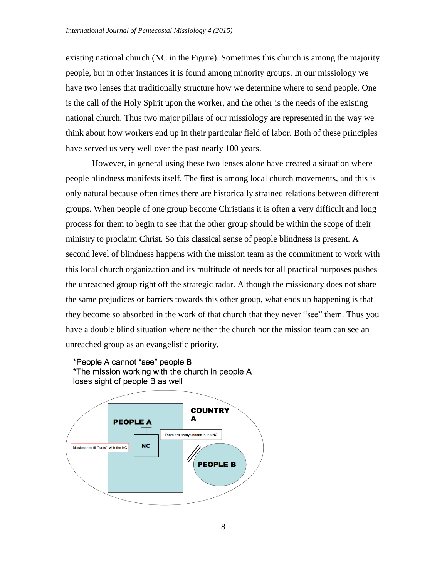existing national church (NC in the Figure). Sometimes this church is among the majority people, but in other instances it is found among minority groups. In our missiology we have two lenses that traditionally structure how we determine where to send people. One is the call of the Holy Spirit upon the worker, and the other is the needs of the existing national church. Thus two major pillars of our missiology are represented in the way we think about how workers end up in their particular field of labor. Both of these principles have served us very well over the past nearly 100 years.

However, in general using these two lenses alone have created a situation where people blindness manifests itself. The first is among local church movements, and this is only natural because often times there are historically strained relations between different groups. When people of one group become Christians it is often a very difficult and long process for them to begin to see that the other group should be within the scope of their ministry to proclaim Christ. So this classical sense of people blindness is present. A second level of blindness happens with the mission team as the commitment to work with this local church organization and its multitude of needs for all practical purposes pushes the unreached group right off the strategic radar. Although the missionary does not share the same prejudices or barriers towards this other group, what ends up happening is that they become so absorbed in the work of that church that they never "see" them. Thus you have a double blind situation where neither the church nor the mission team can see an unreached group as an evangelistic priority.



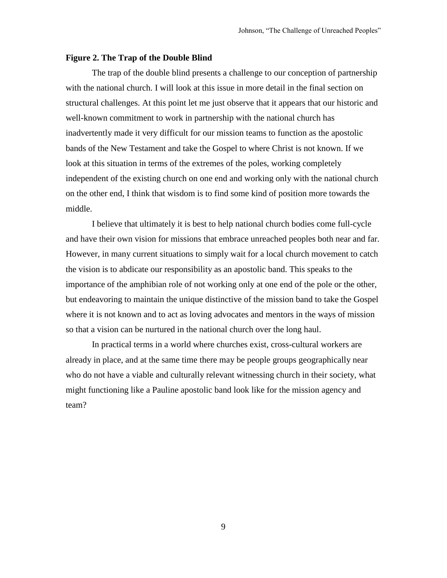### **Figure 2. The Trap of the Double Blind**

The trap of the double blind presents a challenge to our conception of partnership with the national church. I will look at this issue in more detail in the final section on structural challenges. At this point let me just observe that it appears that our historic and well-known commitment to work in partnership with the national church has inadvertently made it very difficult for our mission teams to function as the apostolic bands of the New Testament and take the Gospel to where Christ is not known. If we look at this situation in terms of the extremes of the poles, working completely independent of the existing church on one end and working only with the national church on the other end, I think that wisdom is to find some kind of position more towards the middle.

I believe that ultimately it is best to help national church bodies come full-cycle and have their own vision for missions that embrace unreached peoples both near and far. However, in many current situations to simply wait for a local church movement to catch the vision is to abdicate our responsibility as an apostolic band. This speaks to the importance of the amphibian role of not working only at one end of the pole or the other, but endeavoring to maintain the unique distinctive of the mission band to take the Gospel where it is not known and to act as loving advocates and mentors in the ways of mission so that a vision can be nurtured in the national church over the long haul.

In practical terms in a world where churches exist, cross-cultural workers are already in place, and at the same time there may be people groups geographically near who do not have a viable and culturally relevant witnessing church in their society, what might functioning like a Pauline apostolic band look like for the mission agency and team?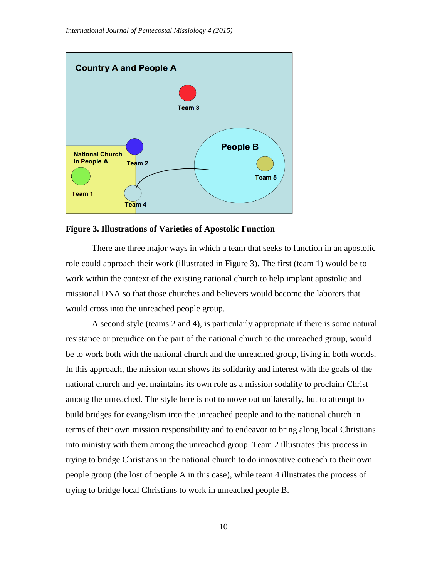

**Figure 3. Illustrations of Varieties of Apostolic Function**

There are three major ways in which a team that seeks to function in an apostolic role could approach their work (illustrated in Figure 3). The first (team 1) would be to work within the context of the existing national church to help implant apostolic and missional DNA so that those churches and believers would become the laborers that would cross into the unreached people group.

A second style (teams 2 and 4), is particularly appropriate if there is some natural resistance or prejudice on the part of the national church to the unreached group, would be to work both with the national church and the unreached group, living in both worlds. In this approach, the mission team shows its solidarity and interest with the goals of the national church and yet maintains its own role as a mission sodality to proclaim Christ among the unreached. The style here is not to move out unilaterally, but to attempt to build bridges for evangelism into the unreached people and to the national church in terms of their own mission responsibility and to endeavor to bring along local Christians into ministry with them among the unreached group. Team 2 illustrates this process in trying to bridge Christians in the national church to do innovative outreach to their own people group (the lost of people A in this case), while team 4 illustrates the process of trying to bridge local Christians to work in unreached people B.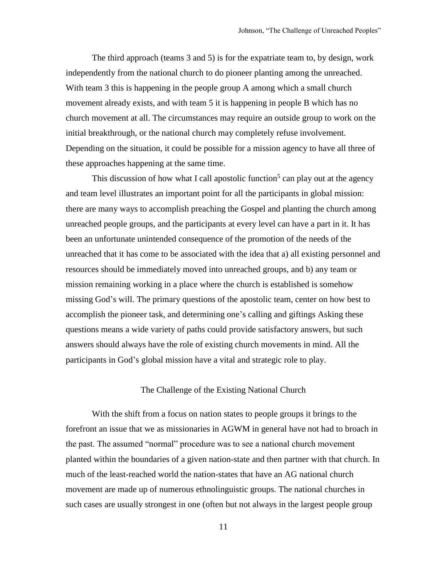The third approach (teams 3 and 5) is for the expatriate team to, by design, work independently from the national church to do pioneer planting among the unreached. With team 3 this is happening in the people group A among which a small church movement already exists, and with team 5 it is happening in people B which has no church movement at all. The circumstances may require an outside group to work on the initial breakthrough, or the national church may completely refuse involvement. Depending on the situation, it could be possible for a mission agency to have all three of these approaches happening at the same time.

This discussion of how what I call apostolic function<sup>5</sup> can play out at the agency and team level illustrates an important point for all the participants in global mission: there are many ways to accomplish preaching the Gospel and planting the church among unreached people groups, and the participants at every level can have a part in it. It has been an unfortunate unintended consequence of the promotion of the needs of the unreached that it has come to be associated with the idea that a) all existing personnel and resources should be immediately moved into unreached groups, and b) any team or mission remaining working in a place where the church is established is somehow missing God's will. The primary questions of the apostolic team, center on how best to accomplish the pioneer task, and determining one's calling and giftings Asking these questions means a wide variety of paths could provide satisfactory answers, but such answers should always have the role of existing church movements in mind. All the participants in God's global mission have a vital and strategic role to play.

### The Challenge of the Existing National Church

With the shift from a focus on nation states to people groups it brings to the forefront an issue that we as missionaries in AGWM in general have not had to broach in the past. The assumed "normal" procedure was to see a national church movement planted within the boundaries of a given nation-state and then partner with that church. In much of the least-reached world the nation-states that have an AG national church movement are made up of numerous ethnolinguistic groups. The national churches in such cases are usually strongest in one (often but not always in the largest people group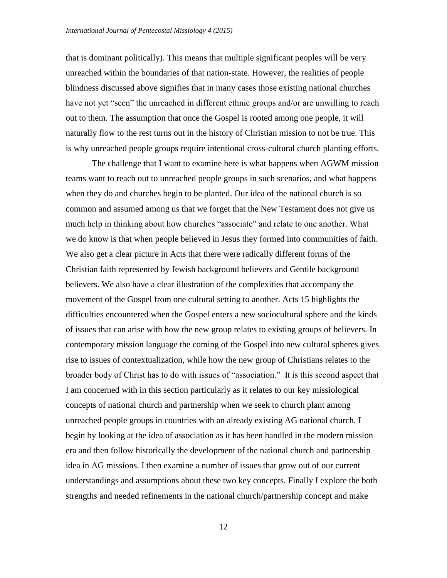that is dominant politically). This means that multiple significant peoples will be very unreached within the boundaries of that nation-state. However, the realities of people blindness discussed above signifies that in many cases those existing national churches have not yet "seen" the unreached in different ethnic groups and/or are unwilling to reach out to them. The assumption that once the Gospel is rooted among one people, it will naturally flow to the rest turns out in the history of Christian mission to not be true. This is why unreached people groups require intentional cross-cultural church planting efforts.

The challenge that I want to examine here is what happens when AGWM mission teams want to reach out to unreached people groups in such scenarios, and what happens when they do and churches begin to be planted. Our idea of the national church is so common and assumed among us that we forget that the New Testament does not give us much help in thinking about how churches "associate" and relate to one another. What we do know is that when people believed in Jesus they formed into communities of faith. We also get a clear picture in Acts that there were radically different forms of the Christian faith represented by Jewish background believers and Gentile background believers. We also have a clear illustration of the complexities that accompany the movement of the Gospel from one cultural setting to another. Acts 15 highlights the difficulties encountered when the Gospel enters a new sociocultural sphere and the kinds of issues that can arise with how the new group relates to existing groups of believers. In contemporary mission language the coming of the Gospel into new cultural spheres gives rise to issues of contextualization, while how the new group of Christians relates to the broader body of Christ has to do with issues of "association." It is this second aspect that I am concerned with in this section particularly as it relates to our key missiological concepts of national church and partnership when we seek to church plant among unreached people groups in countries with an already existing AG national church. I begin by looking at the idea of association as it has been handled in the modern mission era and then follow historically the development of the national church and partnership idea in AG missions. I then examine a number of issues that grow out of our current understandings and assumptions about these two key concepts. Finally I explore the both strengths and needed refinements in the national church/partnership concept and make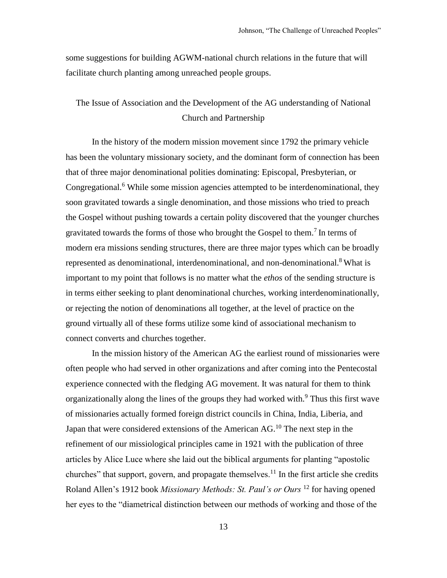some suggestions for building AGWM-national church relations in the future that will facilitate church planting among unreached people groups.

# The Issue of Association and the Development of the AG understanding of National Church and Partnership

In the history of the modern mission movement since 1792 the primary vehicle has been the voluntary missionary society, and the dominant form of connection has been that of three major denominational polities dominating: Episcopal, Presbyterian, or Congregational.<sup>6</sup> While some mission agencies attempted to be interdenominational, they soon gravitated towards a single denomination, and those missions who tried to preach the Gospel without pushing towards a certain polity discovered that the younger churches gravitated towards the forms of those who brought the Gospel to them.<sup>7</sup> In terms of modern era missions sending structures, there are three major types which can be broadly represented as denominational, interdenominational, and non-denominational.<sup>8</sup> What is important to my point that follows is no matter what the *ethos* of the sending structure is in terms either seeking to plant denominational churches, working interdenominationally, or rejecting the notion of denominations all together, at the level of practice on the ground virtually all of these forms utilize some kind of associational mechanism to connect converts and churches together.

In the mission history of the American AG the earliest round of missionaries were often people who had served in other organizations and after coming into the Pentecostal experience connected with the fledging AG movement. It was natural for them to think organizationally along the lines of the groups they had worked with.<sup>9</sup> Thus this first wave of missionaries actually formed foreign district councils in China, India, Liberia, and Japan that were considered extensions of the American  $AG<sup>10</sup>$ . The next step in the refinement of our missiological principles came in 1921 with the publication of three articles by Alice Luce where she laid out the biblical arguments for planting "apostolic churches" that support, govern, and propagate themselves.<sup>11</sup> In the first article she credits Roland Allen's 1912 book *Missionary Methods: St. Paul's or Ours* <sup>12</sup> for having opened her eyes to the "diametrical distinction between our methods of working and those of the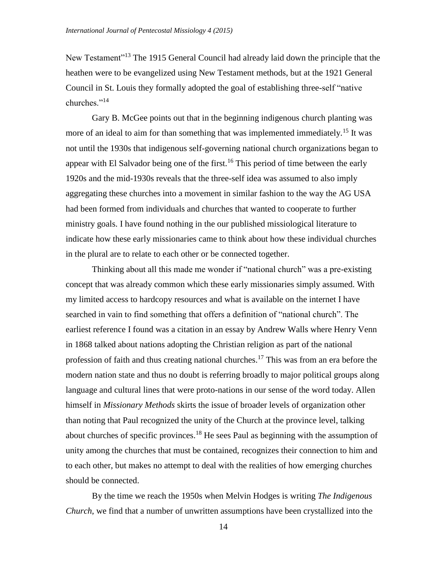New Testament<sup>"13</sup> The 1915 General Council had already laid down the principle that the heathen were to be evangelized using New Testament methods, but at the 1921 General Council in St. Louis they formally adopted the goal of establishing three-self "native churches."<sup>14</sup>

Gary B. McGee points out that in the beginning indigenous church planting was more of an ideal to aim for than something that was implemented immediately.<sup>15</sup> It was not until the 1930s that indigenous self-governing national church organizations began to appear with El Salvador being one of the first.<sup>16</sup> This period of time between the early 1920s and the mid-1930s reveals that the three-self idea was assumed to also imply aggregating these churches into a movement in similar fashion to the way the AG USA had been formed from individuals and churches that wanted to cooperate to further ministry goals. I have found nothing in the our published missiological literature to indicate how these early missionaries came to think about how these individual churches in the plural are to relate to each other or be connected together.

Thinking about all this made me wonder if "national church" was a pre-existing concept that was already common which these early missionaries simply assumed. With my limited access to hardcopy resources and what is available on the internet I have searched in vain to find something that offers a definition of "national church". The earliest reference I found was a citation in an essay by Andrew Walls where Henry Venn in 1868 talked about nations adopting the Christian religion as part of the national profession of faith and thus creating national churches.<sup>17</sup> This was from an era before the modern nation state and thus no doubt is referring broadly to major political groups along language and cultural lines that were proto-nations in our sense of the word today. Allen himself in *Missionary Methods* skirts the issue of broader levels of organization other than noting that Paul recognized the unity of the Church at the province level, talking about churches of specific provinces.<sup>18</sup> He sees Paul as beginning with the assumption of unity among the churches that must be contained, recognizes their connection to him and to each other, but makes no attempt to deal with the realities of how emerging churches should be connected.

By the time we reach the 1950s when Melvin Hodges is writing *The Indigenous Church*, we find that a number of unwritten assumptions have been crystallized into the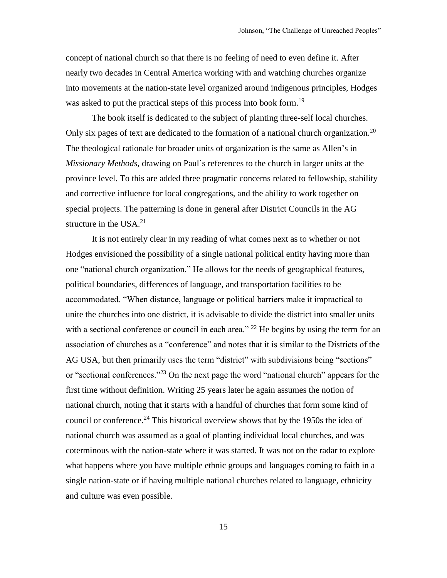concept of national church so that there is no feeling of need to even define it. After nearly two decades in Central America working with and watching churches organize into movements at the nation-state level organized around indigenous principles, Hodges was asked to put the practical steps of this process into book form.<sup>19</sup>

The book itself is dedicated to the subject of planting three-self local churches. Only six pages of text are dedicated to the formation of a national church organization.<sup>20</sup> The theological rationale for broader units of organization is the same as Allen's in *Missionary Methods*, drawing on Paul's references to the church in larger units at the province level. To this are added three pragmatic concerns related to fellowship, stability and corrective influence for local congregations, and the ability to work together on special projects. The patterning is done in general after District Councils in the AG structure in the  $USA.^{21}$ 

It is not entirely clear in my reading of what comes next as to whether or not Hodges envisioned the possibility of a single national political entity having more than one "national church organization." He allows for the needs of geographical features, political boundaries, differences of language, and transportation facilities to be accommodated. "When distance, language or political barriers make it impractical to unite the churches into one district, it is advisable to divide the district into smaller units with a sectional conference or council in each area."  $^{22}$  He begins by using the term for an association of churches as a "conference" and notes that it is similar to the Districts of the AG USA, but then primarily uses the term "district" with subdivisions being "sections" or "sectional conferences."<sup>23</sup> On the next page the word "national church" appears for the first time without definition. Writing 25 years later he again assumes the notion of national church, noting that it starts with a handful of churches that form some kind of council or conference.<sup>24</sup> This historical overview shows that by the 1950s the idea of national church was assumed as a goal of planting individual local churches, and was coterminous with the nation-state where it was started. It was not on the radar to explore what happens where you have multiple ethnic groups and languages coming to faith in a single nation-state or if having multiple national churches related to language, ethnicity and culture was even possible.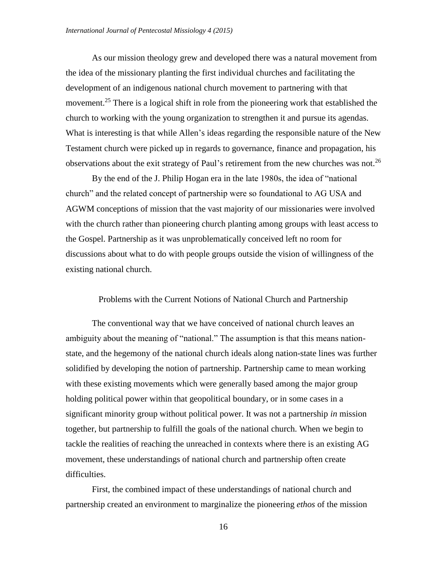As our mission theology grew and developed there was a natural movement from the idea of the missionary planting the first individual churches and facilitating the development of an indigenous national church movement to partnering with that movement.<sup>25</sup> There is a logical shift in role from the pioneering work that established the church to working with the young organization to strengthen it and pursue its agendas. What is interesting is that while Allen's ideas regarding the responsible nature of the New Testament church were picked up in regards to governance, finance and propagation, his observations about the exit strategy of Paul's retirement from the new churches was not.<sup>26</sup>

By the end of the J. Philip Hogan era in the late 1980s, the idea of "national church" and the related concept of partnership were so foundational to AG USA and AGWM conceptions of mission that the vast majority of our missionaries were involved with the church rather than pioneering church planting among groups with least access to the Gospel. Partnership as it was unproblematically conceived left no room for discussions about what to do with people groups outside the vision of willingness of the existing national church.

### Problems with the Current Notions of National Church and Partnership

The conventional way that we have conceived of national church leaves an ambiguity about the meaning of "national." The assumption is that this means nationstate, and the hegemony of the national church ideals along nation-state lines was further solidified by developing the notion of partnership. Partnership came to mean working with these existing movements which were generally based among the major group holding political power within that geopolitical boundary, or in some cases in a significant minority group without political power. It was not a partnership *in* mission together, but partnership to fulfill the goals of the national church. When we begin to tackle the realities of reaching the unreached in contexts where there is an existing AG movement, these understandings of national church and partnership often create difficulties.

First, the combined impact of these understandings of national church and partnership created an environment to marginalize the pioneering *ethos* of the mission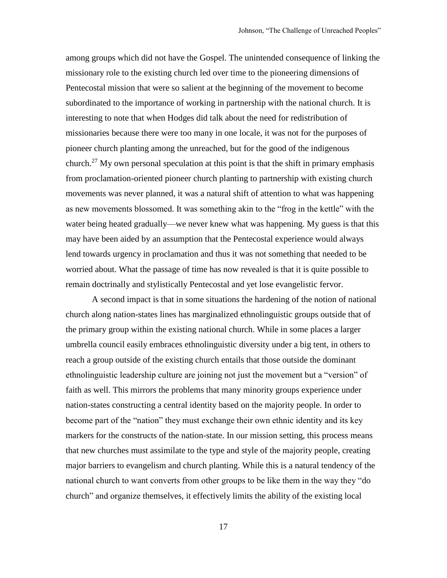among groups which did not have the Gospel. The unintended consequence of linking the missionary role to the existing church led over time to the pioneering dimensions of Pentecostal mission that were so salient at the beginning of the movement to become subordinated to the importance of working in partnership with the national church. It is interesting to note that when Hodges did talk about the need for redistribution of missionaries because there were too many in one locale, it was not for the purposes of pioneer church planting among the unreached, but for the good of the indigenous church.<sup>27</sup> My own personal speculation at this point is that the shift in primary emphasis from proclamation-oriented pioneer church planting to partnership with existing church movements was never planned, it was a natural shift of attention to what was happening as new movements blossomed. It was something akin to the "frog in the kettle" with the water being heated gradually—we never knew what was happening. My guess is that this may have been aided by an assumption that the Pentecostal experience would always lend towards urgency in proclamation and thus it was not something that needed to be worried about. What the passage of time has now revealed is that it is quite possible to remain doctrinally and stylistically Pentecostal and yet lose evangelistic fervor.

A second impact is that in some situations the hardening of the notion of national church along nation-states lines has marginalized ethnolinguistic groups outside that of the primary group within the existing national church. While in some places a larger umbrella council easily embraces ethnolinguistic diversity under a big tent, in others to reach a group outside of the existing church entails that those outside the dominant ethnolinguistic leadership culture are joining not just the movement but a "version" of faith as well. This mirrors the problems that many minority groups experience under nation-states constructing a central identity based on the majority people. In order to become part of the "nation" they must exchange their own ethnic identity and its key markers for the constructs of the nation-state. In our mission setting, this process means that new churches must assimilate to the type and style of the majority people, creating major barriers to evangelism and church planting. While this is a natural tendency of the national church to want converts from other groups to be like them in the way they "do church" and organize themselves, it effectively limits the ability of the existing local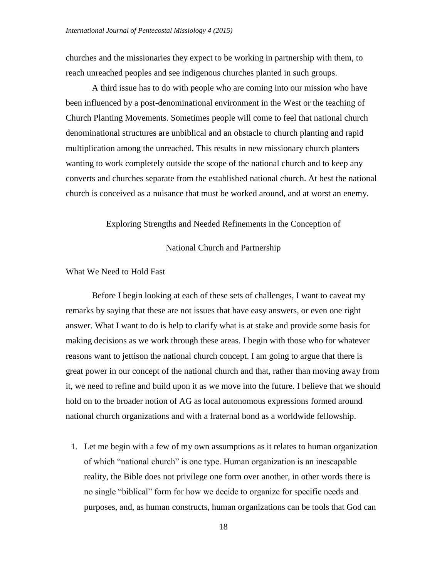churches and the missionaries they expect to be working in partnership with them, to reach unreached peoples and see indigenous churches planted in such groups.

A third issue has to do with people who are coming into our mission who have been influenced by a post-denominational environment in the West or the teaching of Church Planting Movements. Sometimes people will come to feel that national church denominational structures are unbiblical and an obstacle to church planting and rapid multiplication among the unreached. This results in new missionary church planters wanting to work completely outside the scope of the national church and to keep any converts and churches separate from the established national church. At best the national church is conceived as a nuisance that must be worked around, and at worst an enemy.

### Exploring Strengths and Needed Refinements in the Conception of

#### National Church and Partnership

# What We Need to Hold Fast

Before I begin looking at each of these sets of challenges, I want to caveat my remarks by saying that these are not issues that have easy answers, or even one right answer. What I want to do is help to clarify what is at stake and provide some basis for making decisions as we work through these areas. I begin with those who for whatever reasons want to jettison the national church concept. I am going to argue that there is great power in our concept of the national church and that, rather than moving away from it, we need to refine and build upon it as we move into the future. I believe that we should hold on to the broader notion of AG as local autonomous expressions formed around national church organizations and with a fraternal bond as a worldwide fellowship.

1. Let me begin with a few of my own assumptions as it relates to human organization of which "national church" is one type. Human organization is an inescapable reality, the Bible does not privilege one form over another, in other words there is no single "biblical" form for how we decide to organize for specific needs and purposes, and, as human constructs, human organizations can be tools that God can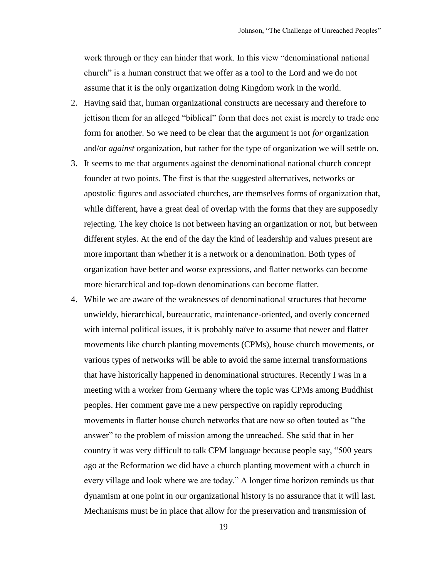work through or they can hinder that work. In this view "denominational national church" is a human construct that we offer as a tool to the Lord and we do not assume that it is the only organization doing Kingdom work in the world.

- 2. Having said that, human organizational constructs are necessary and therefore to jettison them for an alleged "biblical" form that does not exist is merely to trade one form for another. So we need to be clear that the argument is not *for* organization and/or *against* organization, but rather for the type of organization we will settle on.
- 3. It seems to me that arguments against the denominational national church concept founder at two points. The first is that the suggested alternatives, networks or apostolic figures and associated churches, are themselves forms of organization that, while different, have a great deal of overlap with the forms that they are supposedly rejecting. The key choice is not between having an organization or not, but between different styles. At the end of the day the kind of leadership and values present are more important than whether it is a network or a denomination. Both types of organization have better and worse expressions, and flatter networks can become more hierarchical and top-down denominations can become flatter.
- 4. While we are aware of the weaknesses of denominational structures that become unwieldy, hierarchical, bureaucratic, maintenance-oriented, and overly concerned with internal political issues, it is probably naïve to assume that newer and flatter movements like church planting movements (CPMs), house church movements, or various types of networks will be able to avoid the same internal transformations that have historically happened in denominational structures. Recently I was in a meeting with a worker from Germany where the topic was CPMs among Buddhist peoples. Her comment gave me a new perspective on rapidly reproducing movements in flatter house church networks that are now so often touted as "the answer" to the problem of mission among the unreached. She said that in her country it was very difficult to talk CPM language because people say, "500 years ago at the Reformation we did have a church planting movement with a church in every village and look where we are today." A longer time horizon reminds us that dynamism at one point in our organizational history is no assurance that it will last. Mechanisms must be in place that allow for the preservation and transmission of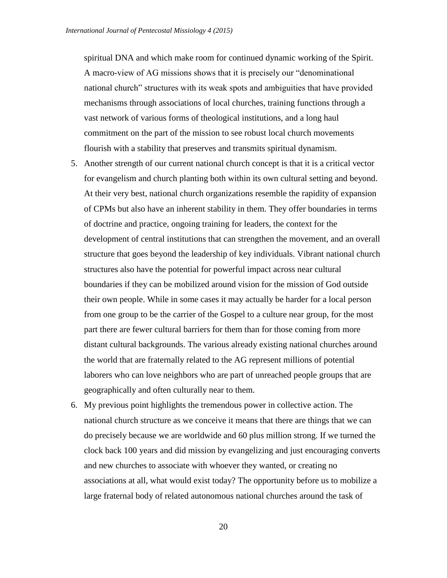spiritual DNA and which make room for continued dynamic working of the Spirit. A macro-view of AG missions shows that it is precisely our "denominational national church" structures with its weak spots and ambiguities that have provided mechanisms through associations of local churches, training functions through a vast network of various forms of theological institutions, and a long haul commitment on the part of the mission to see robust local church movements flourish with a stability that preserves and transmits spiritual dynamism.

- 5. Another strength of our current national church concept is that it is a critical vector for evangelism and church planting both within its own cultural setting and beyond. At their very best, national church organizations resemble the rapidity of expansion of CPMs but also have an inherent stability in them. They offer boundaries in terms of doctrine and practice, ongoing training for leaders, the context for the development of central institutions that can strengthen the movement, and an overall structure that goes beyond the leadership of key individuals. Vibrant national church structures also have the potential for powerful impact across near cultural boundaries if they can be mobilized around vision for the mission of God outside their own people. While in some cases it may actually be harder for a local person from one group to be the carrier of the Gospel to a culture near group, for the most part there are fewer cultural barriers for them than for those coming from more distant cultural backgrounds. The various already existing national churches around the world that are fraternally related to the AG represent millions of potential laborers who can love neighbors who are part of unreached people groups that are geographically and often culturally near to them.
- 6. My previous point highlights the tremendous power in collective action. The national church structure as we conceive it means that there are things that we can do precisely because we are worldwide and 60 plus million strong. If we turned the clock back 100 years and did mission by evangelizing and just encouraging converts and new churches to associate with whoever they wanted, or creating no associations at all, what would exist today? The opportunity before us to mobilize a large fraternal body of related autonomous national churches around the task of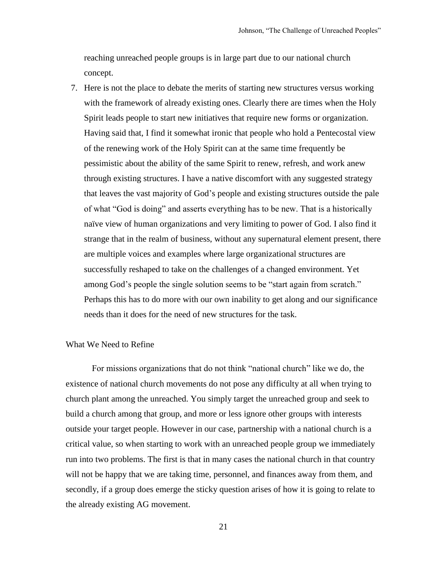reaching unreached people groups is in large part due to our national church concept.

7. Here is not the place to debate the merits of starting new structures versus working with the framework of already existing ones. Clearly there are times when the Holy Spirit leads people to start new initiatives that require new forms or organization. Having said that, I find it somewhat ironic that people who hold a Pentecostal view of the renewing work of the Holy Spirit can at the same time frequently be pessimistic about the ability of the same Spirit to renew, refresh, and work anew through existing structures. I have a native discomfort with any suggested strategy that leaves the vast majority of God's people and existing structures outside the pale of what "God is doing" and asserts everything has to be new. That is a historically naïve view of human organizations and very limiting to power of God. I also find it strange that in the realm of business, without any supernatural element present, there are multiple voices and examples where large organizational structures are successfully reshaped to take on the challenges of a changed environment. Yet among God's people the single solution seems to be "start again from scratch." Perhaps this has to do more with our own inability to get along and our significance needs than it does for the need of new structures for the task.

# What We Need to Refine

For missions organizations that do not think "national church" like we do, the existence of national church movements do not pose any difficulty at all when trying to church plant among the unreached. You simply target the unreached group and seek to build a church among that group, and more or less ignore other groups with interests outside your target people. However in our case, partnership with a national church is a critical value, so when starting to work with an unreached people group we immediately run into two problems. The first is that in many cases the national church in that country will not be happy that we are taking time, personnel, and finances away from them, and secondly, if a group does emerge the sticky question arises of how it is going to relate to the already existing AG movement.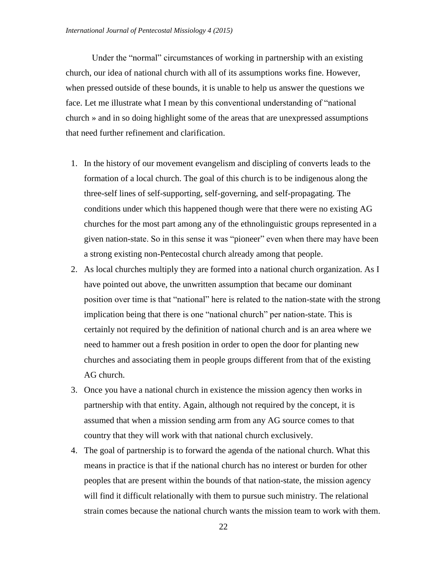Under the "normal" circumstances of working in partnership with an existing church, our idea of national church with all of its assumptions works fine. However, when pressed outside of these bounds, it is unable to help us answer the questions we face. Let me illustrate what I mean by this conventional understanding of "national church » and in so doing highlight some of the areas that are unexpressed assumptions that need further refinement and clarification.

- 1. In the history of our movement evangelism and discipling of converts leads to the formation of a local church. The goal of this church is to be indigenous along the three-self lines of self-supporting, self-governing, and self-propagating. The conditions under which this happened though were that there were no existing AG churches for the most part among any of the ethnolinguistic groups represented in a given nation-state. So in this sense it was "pioneer" even when there may have been a strong existing non-Pentecostal church already among that people.
- 2. As local churches multiply they are formed into a national church organization. As I have pointed out above, the unwritten assumption that became our dominant position over time is that "national" here is related to the nation-state with the strong implication being that there is one "national church" per nation-state. This is certainly not required by the definition of national church and is an area where we need to hammer out a fresh position in order to open the door for planting new churches and associating them in people groups different from that of the existing AG church.
- 3. Once you have a national church in existence the mission agency then works in partnership with that entity. Again, although not required by the concept, it is assumed that when a mission sending arm from any AG source comes to that country that they will work with that national church exclusively.
- 4. The goal of partnership is to forward the agenda of the national church. What this means in practice is that if the national church has no interest or burden for other peoples that are present within the bounds of that nation-state, the mission agency will find it difficult relationally with them to pursue such ministry. The relational strain comes because the national church wants the mission team to work with them.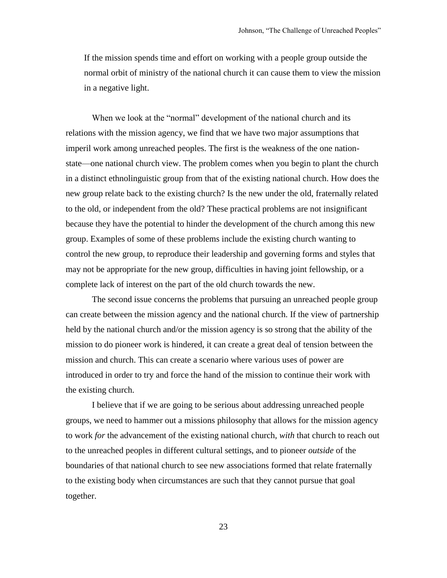If the mission spends time and effort on working with a people group outside the normal orbit of ministry of the national church it can cause them to view the mission in a negative light.

When we look at the "normal" development of the national church and its relations with the mission agency, we find that we have two major assumptions that imperil work among unreached peoples. The first is the weakness of the one nationstate—one national church view. The problem comes when you begin to plant the church in a distinct ethnolinguistic group from that of the existing national church. How does the new group relate back to the existing church? Is the new under the old, fraternally related to the old, or independent from the old? These practical problems are not insignificant because they have the potential to hinder the development of the church among this new group. Examples of some of these problems include the existing church wanting to control the new group, to reproduce their leadership and governing forms and styles that may not be appropriate for the new group, difficulties in having joint fellowship, or a complete lack of interest on the part of the old church towards the new.

The second issue concerns the problems that pursuing an unreached people group can create between the mission agency and the national church. If the view of partnership held by the national church and/or the mission agency is so strong that the ability of the mission to do pioneer work is hindered, it can create a great deal of tension between the mission and church. This can create a scenario where various uses of power are introduced in order to try and force the hand of the mission to continue their work with the existing church.

I believe that if we are going to be serious about addressing unreached people groups, we need to hammer out a missions philosophy that allows for the mission agency to work *for* the advancement of the existing national church, *with* that church to reach out to the unreached peoples in different cultural settings, and to pioneer *outside* of the boundaries of that national church to see new associations formed that relate fraternally to the existing body when circumstances are such that they cannot pursue that goal together.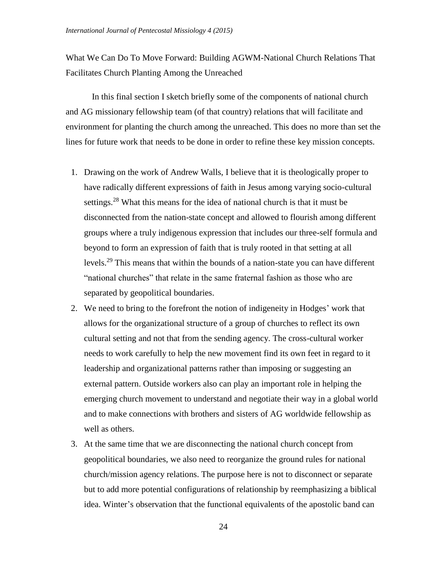What We Can Do To Move Forward: Building AGWM-National Church Relations That Facilitates Church Planting Among the Unreached

In this final section I sketch briefly some of the components of national church and AG missionary fellowship team (of that country) relations that will facilitate and environment for planting the church among the unreached. This does no more than set the lines for future work that needs to be done in order to refine these key mission concepts.

- 1. Drawing on the work of Andrew Walls, I believe that it is theologically proper to have radically different expressions of faith in Jesus among varying socio-cultural settings.<sup>28</sup> What this means for the idea of national church is that it must be disconnected from the nation-state concept and allowed to flourish among different groups where a truly indigenous expression that includes our three-self formula and beyond to form an expression of faith that is truly rooted in that setting at all levels.<sup>29</sup> This means that within the bounds of a nation-state you can have different "national churches" that relate in the same fraternal fashion as those who are separated by geopolitical boundaries.
- 2. We need to bring to the forefront the notion of indigeneity in Hodges' work that allows for the organizational structure of a group of churches to reflect its own cultural setting and not that from the sending agency. The cross-cultural worker needs to work carefully to help the new movement find its own feet in regard to it leadership and organizational patterns rather than imposing or suggesting an external pattern. Outside workers also can play an important role in helping the emerging church movement to understand and negotiate their way in a global world and to make connections with brothers and sisters of AG worldwide fellowship as well as others.
- 3. At the same time that we are disconnecting the national church concept from geopolitical boundaries, we also need to reorganize the ground rules for national church/mission agency relations. The purpose here is not to disconnect or separate but to add more potential configurations of relationship by reemphasizing a biblical idea. Winter's observation that the functional equivalents of the apostolic band can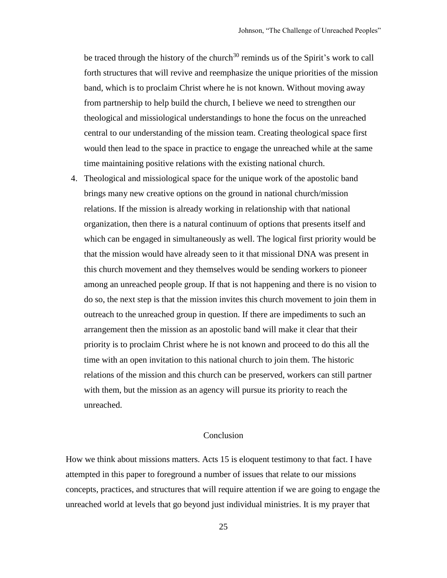be traced through the history of the church $30$  reminds us of the Spirit's work to call forth structures that will revive and reemphasize the unique priorities of the mission band, which is to proclaim Christ where he is not known. Without moving away from partnership to help build the church, I believe we need to strengthen our theological and missiological understandings to hone the focus on the unreached central to our understanding of the mission team. Creating theological space first would then lead to the space in practice to engage the unreached while at the same time maintaining positive relations with the existing national church.

4. Theological and missiological space for the unique work of the apostolic band brings many new creative options on the ground in national church/mission relations. If the mission is already working in relationship with that national organization, then there is a natural continuum of options that presents itself and which can be engaged in simultaneously as well. The logical first priority would be that the mission would have already seen to it that missional DNA was present in this church movement and they themselves would be sending workers to pioneer among an unreached people group. If that is not happening and there is no vision to do so, the next step is that the mission invites this church movement to join them in outreach to the unreached group in question. If there are impediments to such an arrangement then the mission as an apostolic band will make it clear that their priority is to proclaim Christ where he is not known and proceed to do this all the time with an open invitation to this national church to join them. The historic relations of the mission and this church can be preserved, workers can still partner with them, but the mission as an agency will pursue its priority to reach the unreached.

# Conclusion

How we think about missions matters. Acts 15 is eloquent testimony to that fact. I have attempted in this paper to foreground a number of issues that relate to our missions concepts, practices, and structures that will require attention if we are going to engage the unreached world at levels that go beyond just individual ministries. It is my prayer that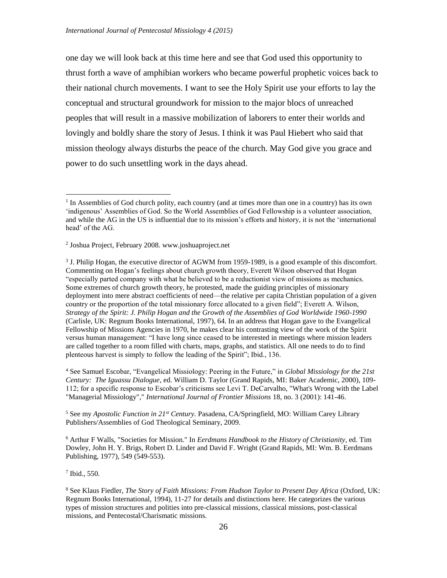one day we will look back at this time here and see that God used this opportunity to thrust forth a wave of amphibian workers who became powerful prophetic voices back to their national church movements. I want to see the Holy Spirit use your efforts to lay the conceptual and structural groundwork for mission to the major blocs of unreached peoples that will result in a massive mobilization of laborers to enter their worlds and lovingly and boldly share the story of Jesus. I think it was Paul Hiebert who said that mission theology always disturbs the peace of the church. May God give you grace and power to do such unsettling work in the days ahead.

<sup>3</sup> J. Philip Hogan, the executive director of AGWM from 1959-1989, is a good example of this discomfort. Commenting on Hogan's feelings about church growth theory, Everett Wilson observed that Hogan "especially parted company with what he believed to be a reductionist view of missions as mechanics. Some extremes of church growth theory, he protested, made the guiding principles of missionary deployment into mere abstract coefficients of need—the relative per capita Christian population of a given country or the proportion of the total missionary force allocated to a given field"; Everett A. Wilson, *Strategy of the Spirit: J. Philip Hogan and the Growth of the Assemblies of God Worldwide 1960-1990* (Carlisle, UK: Regnum Books International, 1997), 64. In an address that Hogan gave to the Evangelical Fellowship of Missions Agencies in 1970, he makes clear his contrasting view of the work of the Spirit versus human management: "I have long since ceased to be interested in meetings where mission leaders are called together to a room filled with charts, maps, graphs, and statistics. All one needs to do to find plenteous harvest is simply to follow the leading of the Spirit"; Ibid., 136.

<sup>4</sup> See Samuel Escobar, "Evangelical Missiology: Peering in the Future," in *Global Missiology for the 21st Century: The Iguassu Dialogue*, ed. William D. Taylor (Grand Rapids, MI: Baker Academic, 2000), 109- 112; for a specific response to Escobar's criticisms see Levi T. DeCarvalho, "What's Wrong with the Label "Managerial Missiology"," *International Journal of Frontier Missions* 18, no. 3 (2001): 141-46.

<sup>5</sup> See my *Apostolic Function in 21st Century.* Pasadena, CA/Springfield, MO: William Carey Library Publishers/Assemblies of God Theological Seminary, 2009.

<sup>6</sup> Arthur F Walls, "Societies for Mission." In *Eerdmans Handbook to the History of Christianity*, ed. Tim Dowley, John H. Y. Brigs, Robert D. Linder and David F. Wright (Grand Rapids, MI: Wm. B. Eerdmans Publishing, 1977), 549 (549-553).

7 Ibid., 550.

 $\overline{a}$ 

<sup>&</sup>lt;sup>1</sup> In Assemblies of God church polity, each country (and at times more than one in a country) has its own 'indigenous' Assemblies of God. So the World Assemblies of God Fellowship is a volunteer association, and while the AG in the US is influential due to its mission's efforts and history, it is not the 'international head' of the AG.

<sup>2</sup> Joshua Project, February 2008. www.joshuaproject.net

<sup>8</sup> See Klaus Fiedler, *The Story of Faith Missions: From Hudson Taylor to Present Day Africa* (Oxford, UK: Regnum Books International, 1994), 11-27 for details and distinctions here. He categorizes the various types of mission structures and polities into pre-classical missions, classical missions, post-classical missions, and Pentecostal/Charismatic missions.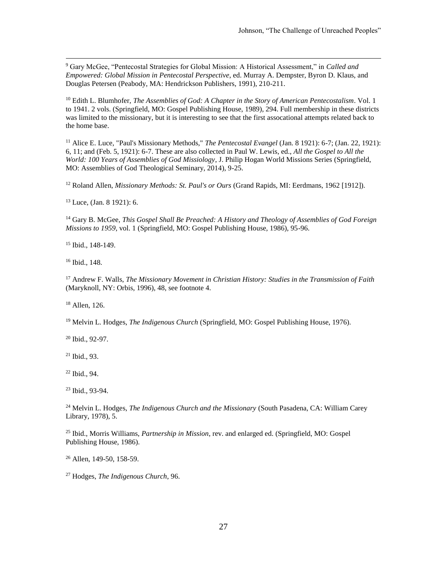<sup>9</sup> Gary McGee, "Pentecostal Strategies for Global Mission: A Historical Assessment," in *Called and Empowered: Global Mission in Pentecostal Perspective*, ed. Murray A. Dempster, Byron D. Klaus, and Douglas Petersen (Peabody, MA: Hendrickson Publishers, 1991), 210-211.

<sup>10</sup> Edith L. Blumhofer, *The Assemblies of God: A Chapter in the Story of American Pentecostalism*. Vol. 1 to 1941. 2 vols. (Springfield, MO: Gospel Publishing House, 1989), 294. Full membership in these districts was limited to the missionary, but it is interesting to see that the first assocational attempts related back to the home base.

<sup>11</sup> Alice E. Luce, "Paul's Missionary Methods," *The Pentecostal Evangel* (Jan. 8 1921): 6-7; (Jan. 22, 1921): 6, 11; and (Feb. 5, 1921): 6-7. These are also collected in Paul W. Lewis, ed., *All the Gospel to All the World: 100 Years of Assemblies of God Missiology*, J. Philip Hogan World Missions Series (Springfield, MO: Assemblies of God Theological Seminary, 2014), 9-25.

<sup>12</sup> Roland Allen, *Missionary Methods: St. Paul's or Ours* (Grand Rapids, MI: Eerdmans, 1962 [1912]).

<sup>13</sup> Luce, (Jan. 8 1921): 6.

<sup>14</sup> Gary B. McGee, *This Gospel Shall Be Preached: A History and Theology of Assemblies of God Foreign Missions to 1959*, vol. 1 (Springfield, MO: Gospel Publishing House, 1986), 95-96.

<sup>15</sup> Ibid., 148-149.

<sup>16</sup> Ibid., 148.

 $\overline{a}$ 

<sup>17</sup> Andrew F. Walls, *The Missionary Movement in Christian History: Studies in the Transmission of Faith* (Maryknoll, NY: Orbis, 1996), 48, see footnote 4.

<sup>18</sup> Allen, 126.

<sup>19</sup> Melvin L. Hodges, *The Indigenous Church* (Springfield, MO: Gospel Publishing House, 1976).

<sup>20</sup> Ibid., 92-97.

<sup>21</sup> Ibid., 93.

<sup>22</sup> Ibid., 94.

<sup>23</sup> Ibid., 93-94.

<sup>24</sup> Melvin L. Hodges, *The Indigenous Church and the Missionary* (South Pasadena, CA: William Carey Library, 1978), 5.

<sup>25</sup> Ibid., Morris Williams, *Partnership in Mission*, rev. and enlarged ed. (Springfield, MO: Gospel Publishing House, 1986).

<sup>26</sup> Allen, 149-50, 158-59.

<sup>27</sup> Hodges, *The Indigenous Church*, 96.